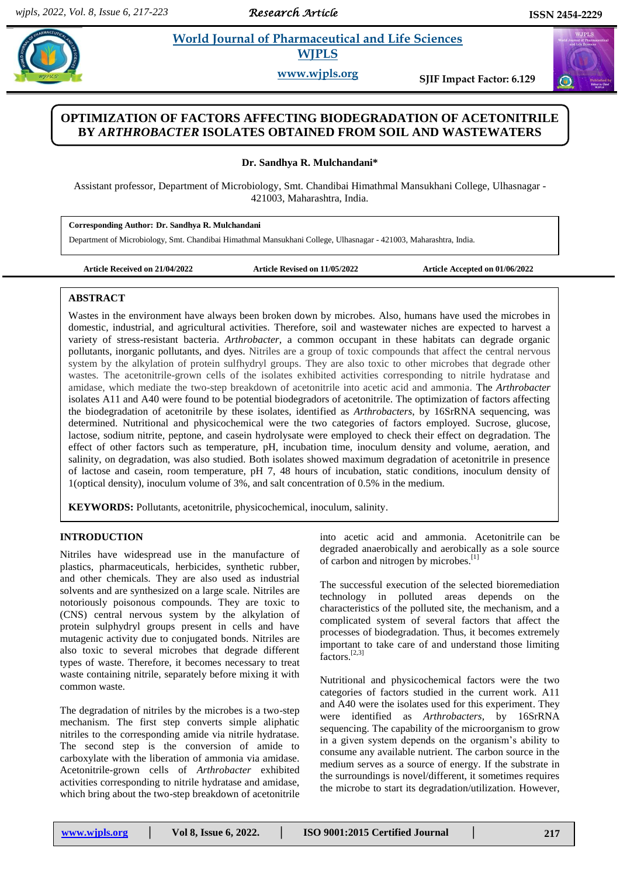*Research Article* 

 $\alpha$ 

# **SANDHIP IS A PHARMACEUTE AND A PHARMACEUTICAL AND LIFE Sciences WJPLS**

**www.wjpls.org SJIF Impact Factor: 6.129**

# **OPTIMIZATION OF FACTORS AFFECTING BIODEGRADATION OF ACETONITRILE BY** *ARTHROBACTER* **ISOLATES OBTAINED FROM SOIL AND WASTEWATERS**

**Dr. Sandhya R. Mulchandani\***

Assistant professor, Department of Microbiology, Smt. Chandibai Himathmal Mansukhani College, Ulhasnagar - 421003, Maharashtra, India.

**Corresponding Author: Dr. Sandhya R. Mulchandani** Department of Microbiology, Smt. Chandibai Himathmal Mansukhani College, Ulhasnagar - 421003, Maharashtra, India*.*

**Article Received on 21/04/2022 Article Revised on 11/05/2022 Article Accepted on 01/06/2022**

#### **ABSTRACT**

Wastes in the environment have always been broken down by microbes. Also, humans have used the microbes in domestic, industrial, and agricultural activities. Therefore, soil and wastewater niches are expected to harvest a variety of stress-resistant bacteria. *Arthrobacter*, a common occupant in these habitats can degrade organic pollutants, inorganic pollutants, and dyes. Nitriles are a group of toxic compounds that affect the central nervous system by the alkylation of protein sulfhydryl groups. They are also toxic to other microbes that degrade other wastes. The acetonitrile-grown cells of the isolates exhibited activities corresponding to nitrile hydratase and amidase, which mediate the two-step breakdown of acetonitrile into acetic acid and ammonia. The *Arthrobacter* isolates A11 and A40 were found to be potential biodegradors of acetonitrile. The optimization of factors affecting the biodegradation of acetonitrile by these isolates, identified as *Arthrobacters*, by 16SrRNA sequencing, was determined. Nutritional and physicochemical were the two categories of factors employed. Sucrose, glucose, lactose, sodium nitrite, peptone, and casein hydrolysate were employed to check their effect on degradation. The effect of other factors such as temperature, pH, incubation time, inoculum density and volume, aeration, and salinity, on degradation, was also studied. Both isolates showed maximum degradation of acetonitrile in presence of lactose and casein, room temperature, pH 7, 48 hours of incubation, static conditions, inoculum density of 1(optical density), inoculum volume of 3%, and salt concentration of 0.5% in the medium.

**KEYWORDS:** Pollutants, acetonitrile, physicochemical, inoculum, salinity.

#### **INTRODUCTION**

Nitriles have widespread use in the manufacture of plastics, pharmaceuticals, herbicides, synthetic rubber, and other chemicals. They are also used as industrial solvents and are synthesized on a large scale. Nitriles are notoriously poisonous compounds. They are toxic to (CNS) central nervous system by the alkylation of protein sulphydryl groups present in cells and have mutagenic activity due to conjugated bonds. Nitriles are also toxic to several microbes that degrade different types of waste. Therefore, it becomes necessary to treat waste containing nitrile, separately before mixing it with common waste.

The degradation of nitriles by the microbes is a two-step mechanism. The first step converts simple aliphatic nitriles to the corresponding amide via nitrile hydratase. The second step is the conversion of amide to carboxylate with the liberation of ammonia via amidase. Acetonitrile-grown cells of *Arthrobacter* exhibited activities corresponding to nitrile hydratase and amidase, which bring about the two-step breakdown of acetonitrile into acetic acid and ammonia. Acetonitrile can be degraded anaerobically and aerobically as a sole source of carbon and nitrogen by microbes. [1]

The successful execution of the selected bioremediation technology in polluted areas depends on the characteristics of the polluted site, the mechanism, and a complicated system of several factors that affect the processes of biodegradation. Thus, it becomes extremely important to take care of and understand those limiting factors. [2,3]

Nutritional and physicochemical factors were the two categories of factors studied in the current work. A11 and A40 were the isolates used for this experiment. They were identified as *Arthrobacters*, by 16SrRNA sequencing. The capability of the microorganism to grow in a given system depends on the organism's ability to consume any available nutrient. The carbon source in the medium serves as a source of energy. If the substrate in the surroundings is novel/different, it sometimes requires the microbe to start its degradation/utilization. However,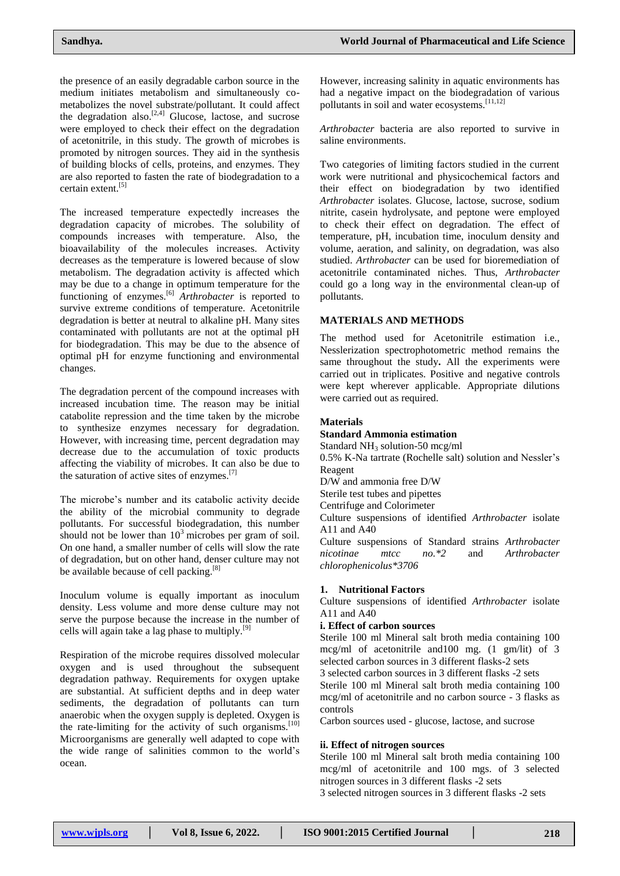the presence of an easily degradable carbon source in the medium initiates metabolism and simultaneously cometabolizes the novel substrate/pollutant. It could affect the degradation also.<sup>[2,4]</sup> Glucose, lactose, and sucrose were employed to check their effect on the degradation of acetonitrile, in this study. The growth of microbes is promoted by nitrogen sources. They aid in the synthesis of building blocks of cells, proteins, and enzymes. They are also reported to fasten the rate of biodegradation to a certain extent.<sup>[5]</sup>

The increased temperature expectedly increases the degradation capacity of microbes. The solubility of compounds increases with temperature. Also, the bioavailability of the molecules increases. Activity decreases as the temperature is lowered because of slow metabolism. The degradation activity is affected which may be due to a change in optimum temperature for the functioning of enzymes.[6] *Arthrobacter* is reported to survive extreme conditions of temperature. Acetonitrile degradation is better at neutral to alkaline pH. Many sites contaminated with pollutants are not at the optimal pH for biodegradation. This may be due to the absence of optimal pH for enzyme functioning and environmental changes.

The degradation percent of the compound increases with increased incubation time. The reason may be initial catabolite repression and the time taken by the microbe to synthesize enzymes necessary for degradation. However, with increasing time, percent degradation may decrease due to the accumulation of toxic products affecting the viability of microbes. It can also be due to the saturation of active sites of enzymes. $[7]$ 

The microbe's number and its catabolic activity decide the ability of the microbial community to degrade pollutants. For successful biodegradation, this number should not be lower than  $10<sup>3</sup>$  microbes per gram of soil. On one hand, a smaller number of cells will slow the rate of degradation, but on other hand, denser culture may not be available because of cell packing.<sup>[8]</sup>

Inoculum volume is equally important as inoculum density. Less volume and more dense culture may not serve the purpose because the increase in the number of cells will again take a lag phase to multiply. $[9]$ 

Respiration of the microbe requires dissolved molecular oxygen and is used throughout the subsequent degradation pathway. Requirements for oxygen uptake are substantial. At sufficient depths and in deep water sediments, the degradation of pollutants can turn anaerobic when the oxygen supply is depleted. Oxygen is the rate-limiting for the activity of such organisms.<sup>[10]</sup> Microorganisms are generally well adapted to cope with the wide range of salinities common to the world's ocean.

However, increasing salinity in aquatic environments has had a negative impact on the biodegradation of various pollutants in soil and water ecosystems.<sup>[11,12]</sup>

*Arthrobacter* bacteria are also reported to survive in saline environments.

Two categories of limiting factors studied in the current work were nutritional and physicochemical factors and their effect on biodegradation by two identified *Arthrobacter* isolates. Glucose, lactose, sucrose, sodium nitrite, casein hydrolysate, and peptone were employed to check their effect on degradation. The effect of temperature, pH, incubation time, inoculum density and volume, aeration, and salinity, on degradation, was also studied. *Arthrobacter* can be used for bioremediation of acetonitrile contaminated niches. Thus, *Arthrobacter* could go a long way in the environmental clean-up of pollutants.

# **MATERIALS AND METHODS**

The method used for Acetonitrile estimation i.e., Nesslerization spectrophotometric method remains the same throughout the study**.** All the experiments were carried out in triplicates. Positive and negative controls were kept wherever applicable. Appropriate dilutions were carried out as required.

# **Materials**

#### **Standard Ammonia estimation**

Standard  $NH<sub>3</sub>$  solution-50 mcg/ml

0.5% K-Na tartrate (Rochelle salt) solution and Nessler's Reagent

D/W and ammonia free D/W

Sterile test tubes and pipettes

Centrifuge and Colorimeter

Culture suspensions of identified *Arthrobacter* isolate A11 and A40

Culture suspensions of Standard strains *Arthrobacter nicotinae mtcc no.\*2* and *Arthrobacter chlorophenicolus\*3706*

# **1. Nutritional Factors**

Culture suspensions of identified *Arthrobacter* isolate A11 and A40

## **i. Effect of carbon sources**

Sterile 100 ml Mineral salt broth media containing 100 mcg/ml of acetonitrile and100 mg. (1 gm/lit) of 3 selected carbon sources in 3 different flasks-2 sets

3 selected carbon sources in 3 different flasks -2 sets Sterile 100 ml Mineral salt broth media containing 100 mcg/ml of acetonitrile and no carbon source - 3 flasks as controls

Carbon sources used - glucose, lactose, and sucrose

# **ii. Effect of nitrogen sources**

Sterile 100 ml Mineral salt broth media containing 100 mcg/ml of acetonitrile and 100 mgs. of 3 selected nitrogen sources in 3 different flasks -2 sets

3 selected nitrogen sources in 3 different flasks -2 sets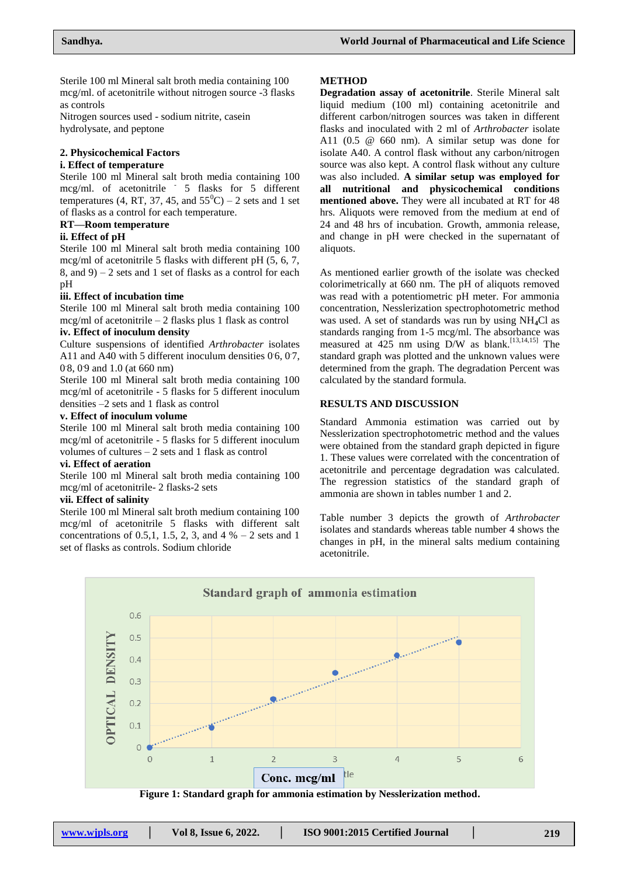Sterile 100 ml Mineral salt broth media containing 100 mcg/ml. of acetonitrile without nitrogen source -3 flasks as controls

Nitrogen sources used - sodium nitrite, casein hydrolysate, and peptone

## **2. Physicochemical Factors**

# **i. Effect of temperature**

Sterile 100 ml Mineral salt broth media containing 100 mcg/ml. of acetonitrile <sup>-</sup> 5 flasks for 5 different temperatures (4, RT, 37, 45, and  $55^{\circ}$ C) – 2 sets and 1 set of flasks as a control for each temperature.

#### **RT—Room temperature**

#### **ii. Effect of pH**

Sterile 100 ml Mineral salt broth media containing 100 mcg/ml of acetonitrile 5 flasks with different pH (5, 6, 7, 8, and  $9 - 2$  sets and 1 set of flasks as a control for each pH

#### **iii. Effect of incubation time**

Sterile 100 ml Mineral salt broth media containing 100 mcg/ml of acetonitrile – 2 flasks plus 1 flask as control

#### **iv. Effect of inoculum density**

Culture suspensions of identified *Arthrobacter* isolates A11 and A40 with 5 different inoculum densities  $0.6$ ,  $0.7$ , 0.8, 0.9 and 1.0 (at 660 nm)

Sterile 100 ml Mineral salt broth media containing 100 mcg/ml of acetonitrile - 5 flasks for 5 different inoculum densities –2 sets and 1 flask as control

#### **v. Effect of inoculum volume**

Sterile 100 ml Mineral salt broth media containing 100 mcg/ml of acetonitrile - 5 flasks for 5 different inoculum volumes of cultures  $-2$  sets and 1 flask as control

#### **vi. Effect of aeration**

Sterile 100 ml Mineral salt broth media containing 100 mcg/ml of acetonitrile- 2 flasks-2 sets

#### **vii. Effect of salinity**

Sterile 100 ml Mineral salt broth medium containing 100 mcg/ml of acetonitrile 5 flasks with different salt concentrations of 0.5,1, 1.5, 2, 3, and  $4\% - 2$  sets and 1 set of flasks as controls. Sodium chloride

#### **METHOD**

**Degradation assay of acetonitrile**. Sterile Mineral salt liquid medium (100 ml) containing acetonitrile and different carbon/nitrogen sources was taken in different flasks and inoculated with 2 ml of *Arthrobacter* isolate A11 (0.5 @ 660 nm). A similar setup was done for isolate A40. A control flask without any carbon/nitrogen source was also kept. A control flask without any culture was also included. **A similar setup was employed for all nutritional and physicochemical conditions mentioned above.** They were all incubated at RT for 48 hrs. Aliquots were removed from the medium at end of 24 and 48 hrs of incubation. Growth, ammonia release, and change in pH were checked in the supernatant of aliquots.

As mentioned earlier growth of the isolate was checked colorimetrically at 660 nm. The pH of aliquots removed was read with a potentiometric pH meter. For ammonia concentration, Nesslerization spectrophotometric method was used. A set of standards was run by using NH**4**Cl as standards ranging from 1-5 mcg/ml. The absorbance was measured at 425 nm using D/W as blank.<sup>[13,14,15]</sup> The standard graph was plotted and the unknown values were determined from the graph. The degradation Percent was calculated by the standard formula.

## **RESULTS AND DISCUSSION**

Standard Ammonia estimation was carried out by Nesslerization spectrophotometric method and the values were obtained from the standard graph depicted in figure 1. These values were correlated with the concentration of acetonitrile and percentage degradation was calculated. The regression statistics of the standard graph of ammonia are shown in tables number 1 and 2.

Table number 3 depicts the growth of *Arthrobacter* isolates and standards whereas table number 4 shows the changes in pH, in the mineral salts medium containing acetonitrile.



**Figure 1: Standard graph for ammonia estimation by Nesslerization method.**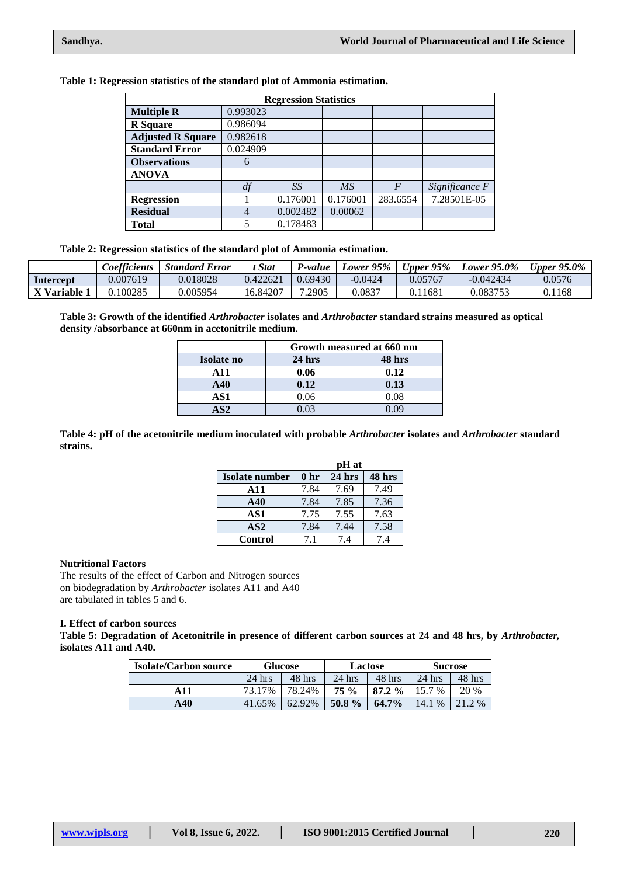| Table 1: Regression statistics of the standard plot of Ammonia estimation. |  |  |  |  |  |  |  |  |  |
|----------------------------------------------------------------------------|--|--|--|--|--|--|--|--|--|
|----------------------------------------------------------------------------|--|--|--|--|--|--|--|--|--|

|                          |          | <b>Regression Statistics</b> |           |                  |                |
|--------------------------|----------|------------------------------|-----------|------------------|----------------|
| <b>Multiple R</b>        | 0.993023 |                              |           |                  |                |
| <b>R</b> Square          | 0.986094 |                              |           |                  |                |
| <b>Adjusted R Square</b> | 0.982618 |                              |           |                  |                |
| <b>Standard Error</b>    | 0.024909 |                              |           |                  |                |
| <b>Observations</b>      | 6        |                              |           |                  |                |
| <b>ANOVA</b>             |          |                              |           |                  |                |
|                          | df       | SS                           | <b>MS</b> | $\boldsymbol{F}$ | Significance F |
| <b>Regression</b>        |          | 0.176001                     | 0.176001  | 283.6554         | 7.28501E-05    |
| <b>Residual</b>          | 4        | 0.002482                     | 0.00062   |                  |                |
| <b>Total</b>             | 5        | 0.178483                     |           |                  |                |

**Table 2: Regression statistics of the standard plot of Ammonia estimation.**

|            | <b>Coefficients</b> | <b>Standard Error</b> | <b>Stat</b> | P-value | Lower 95% | Upper $95\%$ | Lower $95.0\%$ | Upper $95.0\%$ |
|------------|---------------------|-----------------------|-------------|---------|-----------|--------------|----------------|----------------|
| Intercept  | 0.007619            | 0.018028              | 0.422621    | 0.69430 | $-0.0424$ | 0.05767      | $-0.042434$    | 0.0576         |
| X Variable | 100285              | 0.005954              | 16.84207    | .2905   | 0.0837    | ).11681      | 0.083753       | 0.1168         |

**Table 3: Growth of the identified** *Arthrobacter* **isolates and** *Arthrobacter* **standard strains measured as optical density /absorbance at 660nm in acetonitrile medium.**

|              |          | Growth measured at 660 nm |
|--------------|----------|---------------------------|
| Isolate no   | $24$ hrs | 48 hrs                    |
| A 11         | 0.06     | 0.12                      |
| A40          | 0.12     | 0.13                      |
| AS1          | 0.06     | 0.08                      |
| $\mathbf{C}$ | .03      |                           |

**Table 4: pH of the acetonitrile medium inoculated with probable** *Arthrobacter* **isolates and** *Arthrobacter* **standard strains.**

|                |      | pH at    |        |
|----------------|------|----------|--------|
| Isolate number | 0 hr | $24$ hrs | 48 hrs |
| A11            | 7.84 | 7.69     | 7.49   |
| A40            | 7.84 | 7.85     | 7.36   |
| AS1            | 7.75 | 7.55     | 7.63   |
| AS2            | 7.84 | 7.44     | 7.58   |
| <b>Control</b> | 7.1  | 74       | 7.4    |

## **Nutritional Factors**

The results of the effect of Carbon and Nitrogen sources on biodegradation by *Arthrobacter* isolates A11 and A40 are tabulated in tables 5 and 6.

# **I. Effect of carbon sources**

**Table 5: Degradation of Acetonitrile in presence of different carbon sources at 24 and 48 hrs, by** *Arthrobacter,* **isolates A11 and A40.**

| <b>Isolate/Carbon source</b> |          | <b>Glucose</b> |          | Lactose   | <b>Sucrose</b> |          |  |
|------------------------------|----------|----------------|----------|-----------|----------------|----------|--|
|                              | $24$ hrs | 48 hrs         | $24$ hrs | 48 hrs    | $24$ hrs       | $48$ hrs |  |
| A 1 1                        | 73.17%   | 78.24%         | 75%      | $87.2 \%$ | 15.7 %         | 20 %     |  |
| A40                          | 41.65%   | 62.92%         | 50.8 $%$ | 64.7%     | 14.1<br>$\%$   | 21.2 %   |  |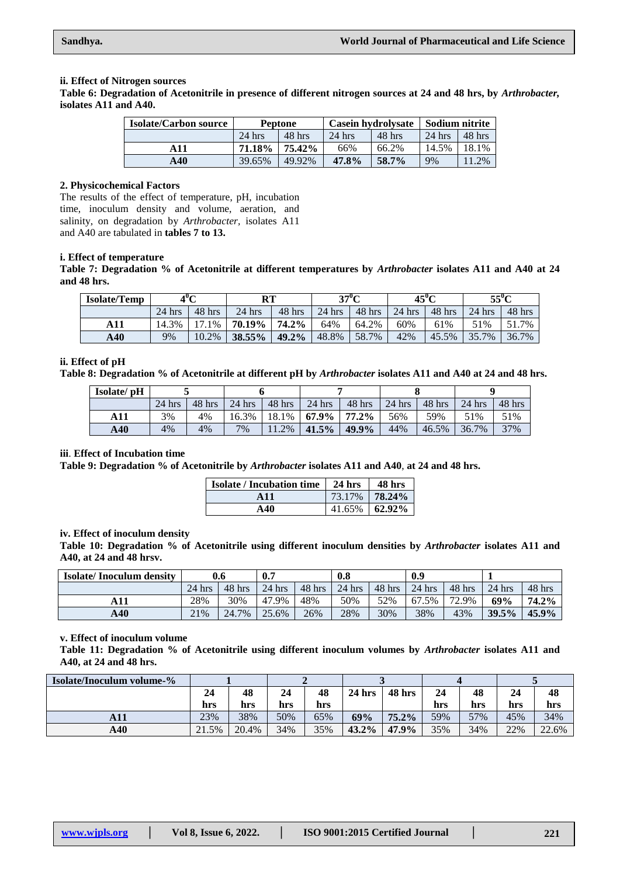#### **ii. Effect of Nitrogen sources**

**Table 6: Degradation of Acetonitrile in presence of different nitrogen sources at 24 and 48 hrs, by** *Arthrobacter,* **isolates A11 and A40.**

| <b>Isolate/Carbon source</b> |          | Peptone  | <b>Casein hydrolysate</b> |          | Sodium nitrite |        |  |
|------------------------------|----------|----------|---------------------------|----------|----------------|--------|--|
|                              | $24$ hrs | $48$ hrs | $24$ hrs                  | $48$ hrs | $24$ hrs       | 48 hrs |  |
| A 1 1                        | 71.18%   | 75.42%   | 66%                       | 66.2%    | 14.5%          | 18.1%  |  |
| A40                          | 39.65%   | 49.92%   | 47.8%                     | 58.7%    | 9%             | 1.2%   |  |

### **2. Physicochemical Factors**

The results of the effect of temperature, pH, incubation time, inoculum density and volume, aeration, and salinity, on degradation by *Arthrobacter,* isolates A11 and A40 are tabulated in **tables 7 to 13.**

# **i. Effect of temperature**

**Table 7: Degradation % of Acetonitrile at different temperatures by** *Arthrobacter* **isolates A11 and A40 at 24 and 48 hrs.**

| <b>Isolate/Temp</b> | 4"C      |        | RТ       |          | $37^{\circ}$ C |        | $45^{\circ}$ C |        | $55^{\circ}$ C |          |
|---------------------|----------|--------|----------|----------|----------------|--------|----------------|--------|----------------|----------|
|                     | $24$ hrs | 48 hrs | $24$ hrs | 48 hrs   | $24$ hrs       | 48 hrs | $24$ hrs       | 48 hrs | $24$ hrs       | $48$ hrs |
| A11                 | 14.3%    | .1%    | 70.19%   | 74.2%    | 64%            | 64.2%  | 60%            | 61%    | 51%            | 51.7%    |
| A40                 | 9%       | 10.2%  | 38.55%   | $49.2\%$ | 48.8%          | 58.7%  | 42%            | 45.5%  | 35.7%          | 36.7%    |

#### **ii. Effect of pH**

**Table 8: Degradation % of Acetonitrile at different pH by** *Arthrobacter* **isolates A11 and A40 at 24 and 48 hrs.**

| Isolate/ pH |          |          |                  |          |                      |          |                    |           |          |        |
|-------------|----------|----------|------------------|----------|----------------------|----------|--------------------|-----------|----------|--------|
|             | $24$ hrs | $48$ hrs | $24 \text{ hrs}$ | $48$ hrs | $24$ hrs             | $48$ hrs | $\frac{1}{24}$ hrs | $-48$ hrs | $24$ hrs | 48 hrs |
| A11         | 3%       | 4%       | 16.3%            |          | $18.1\%$ 67.9% 77.2% |          | 56%                | 59%       | 51%      | 51%    |
| A40         | 4%       | 4%       | 7%               | $11.2\%$ | 141.5%               | $49.9\%$ | 44%                | 46.5%     | 36.7%    | 37%    |

#### **iii**. **Effect of Incubation time**

**Table 9: Degradation % of Acetonitrile by** *Arthrobacter* **isolates A11 and A40**, **at 24 and 48 hrs.**

| <b>Isolate / Incubation time</b> | $\frac{1}{24}$ hrs | 48 hrs             |
|----------------------------------|--------------------|--------------------|
| A 11                             | 73.17%             | 78.24%             |
| $\mathbf{A40}$                   |                    | $41.65\%$   62.92% |

#### **iv. Effect of inoculum density**

**Table 10: Degradation % of Acetonitrile using different inoculum densities by** *Arthrobacter* **isolates A11 and A40, at 24 and 48 hrsv.**

| <b>Isolate/Inoculum density</b> | 0.6      |        | 0.7      |          | 0.8      |          | 0.9      |          |          |          |
|---------------------------------|----------|--------|----------|----------|----------|----------|----------|----------|----------|----------|
|                                 | $24$ hrs | 48 hrs | $24$ hrs | $48$ hrs | $24$ hrs | $48$ hrs | $24$ hrs | $48$ hrs | $24$ hrs | 48 hrs   |
|                                 | 28%      | 30%    | 47.9%    | 48%      | 50%      | 52%      | 67.5%    | 72.9%    | 69%      | 74.2%    |
| A40                             | 21%      | 24.7%  | 25.6%    | 26%      | 28%      | 30%      | 38%      | 43%      | 39.5%    | $45.9\%$ |

## **v. Effect of inoculum volume**

**Table 11: Degradation % of Acetonitrile using different inoculum volumes by** *Arthrobacter* **isolates A11 and A40, at 24 and 48 hrs.**

| <b>Isolate/Inoculum volume-%</b> |       |       |     |     |          |          |     |     |     |       |  |
|----------------------------------|-------|-------|-----|-----|----------|----------|-----|-----|-----|-------|--|
|                                  | 24    | 48    | 24  | 48  | $24$ hrs | 48 hrs   | 24  | 48  | 24  | 48    |  |
|                                  | hrs   | hrs   | hrs | hrs |          |          | hrs | hrs | hrs | hrs   |  |
| A11                              | 23%   | 38%   | 50% | 65% | 69%      | $75.2\%$ | 59% | 57% | 45% | 34%   |  |
| A40                              | 21.5% | 20.4% | 34% | 35% | $43.2\%$ | 47.9%    | 35% | 34% | 22% | 22.6% |  |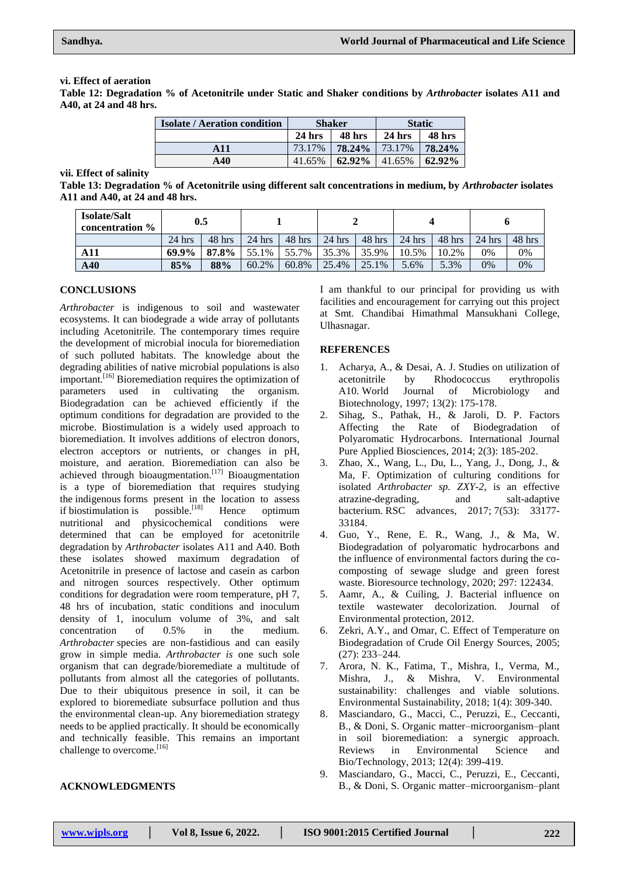#### **vi. Effect of aeration**

**Table 12: Degradation % of Acetonitrile under Static and Shaker conditions by** *Arthrobacter* **isolates A11 and A40, at 24 and 48 hrs.**

| <b>Isolate / Aeration condition</b> |          | <b>Shaker</b> | <b>Static</b> |        |  |
|-------------------------------------|----------|---------------|---------------|--------|--|
|                                     | $24$ hrs | 48 hrs        | $24$ hrs      | 48 hrs |  |
| A11                                 | 73.17%   | 78.24%        | 73.17%        | 78.24% |  |
| A40                                 | 41.65%   | 62.92%        | 41.65%        | 62.92% |  |

**vii. Effect of salinity**

**Table 13: Degradation % of Acetonitrile using different salt concentrations in medium, by** *Arthrobacter* **isolates A11 and A40, at 24 and 48 hrs.**

| <b>Isolate/Salt</b><br>concentration % | $\mathbf{0.5}$ |        |          |          |          |        |          |        |          |        |
|----------------------------------------|----------------|--------|----------|----------|----------|--------|----------|--------|----------|--------|
|                                        | $24$ hrs       | 48 hrs | $24$ hrs | $48$ hrs | $24$ hrs | 48 hrs | $24$ hrs | 48 hrs | $24$ hrs | 48 hrs |
| A11                                    | 69.9%          | 87.8%  | 55.1%    | 55.7%    | 35.3%    | 35.9%  | 10.5%    | 10.2%  | 0%       | 0%     |
| A40                                    | 85%            | 88%    | 60.2%    | 60.8%    | 25.4%    | 25.1%  | 5.6%     | 5.3%   | 0%       | 0%     |

## **CONCLUSIONS**

*Arthrobacter* is indigenous to soil and wastewater ecosystems. It can biodegrade a wide array of pollutants including Acetonitrile. The contemporary times require the development of microbial inocula for bioremediation of such polluted habitats. The knowledge about the degrading abilities of native microbial populations is also important.[16] Bioremediation requires the optimization of parameters used in cultivating the organism. Biodegradation can be achieved efficiently if the optimum conditions for degradation are provided to the microbe. Biostimulation is a widely used approach to bioremediation. It involves additions of electron donors, electron acceptors or nutrients, or changes in pH, moisture, and aeration. Bioremediation can also be achieved through bioaugmentation.<sup>[17]</sup> Bioaugmentation is a type of bioremediation that requires studying the indigenous forms present in the location to assess<br>if biostimulation is  $\frac{1}{8}$  possible.<sup>[18]</sup> Hence optimum if biostimulation is Hence optimum nutritional and physicochemical conditions were determined that can be employed for acetonitrile degradation by *Arthrobacter* isolates A11 and A40. Both these isolates showed maximum degradation of Acetonitrile in presence of lactose and casein as carbon and nitrogen sources respectively. Other optimum conditions for degradation were room temperature, pH 7, 48 hrs of incubation, static conditions and inoculum density of 1, inoculum volume of 3%, and salt concentration of 0.5% in the medium. *Arthrobacter* species are non-fastidious and can easily grow in simple media. *Arthrobacter is* one such sole organism that can degrade/bioremediate a multitude of pollutants from almost all the categories of pollutants. Due to their ubiquitous presence in soil, it can be explored to bioremediate subsurface pollution and thus the environmental clean-up. Any bioremediation strategy needs to be applied practically. It should be economically and technically feasible. This remains an important challenge to overcome.<sup>[16]</sup>

**ACKNOWLEDGMENTS**

I am thankful to our principal for providing us with facilities and encouragement for carrying out this project at Smt. Chandibai Himathmal Mansukhani College, Ulhasnagar.

## **REFERENCES**

- 1. Acharya, A., & Desai, A. J. Studies on utilization of acetonitrile by Rhodococcus erythropolis A10. World Journal of Microbiology and Biotechnology, 1997; 13(2): 175-178.
- 2. Sihag, S., Pathak, H., & Jaroli, D. P. Factors Affecting the Rate of Biodegradation of Polyaromatic Hydrocarbons. International Journal Pure Applied Biosciences, 2014; 2(3): 185-202.
- 3. Zhao, X., Wang, L., Du, L., Yang, J., Dong, J., & Ma, F. Optimization of culturing conditions for isolated *Arthrobacter sp. ZXY-2*, is an effective atrazine-degrading, and salt-adaptive bacterium. RSC advances, 2017; 7(53): 33177- 33184.
- 4. Guo, Y., Rene, E. R., Wang, J., & Ma, W. Biodegradation of polyaromatic hydrocarbons and the influence of environmental factors during the cocomposting of sewage sludge and green forest waste. Bioresource technology, 2020; 297: 122434.
- 5. Aamr, A., & Cuiling, J. Bacterial influence on textile wastewater decolorization. Journal of Environmental protection, 2012.
- 6. Zekri, A.Y., and Omar, C. Effect of Temperature on Biodegradation of Crude Oil Energy Sources, 2005; (27): 233–244.
- 7. Arora, N. K., Fatima, T., Mishra, I., Verma, M., Mishra, J., & Mishra, V. Environmental sustainability: challenges and viable solutions. Environmental Sustainability, 2018; 1(4): 309-340.
- 8. Masciandaro, G., Macci, C., Peruzzi, E., Ceccanti, B., & Doni, S. Organic matter–microorganism–plant in soil bioremediation: a synergic approach. Reviews in Environmental Science and Bio/Technology, 2013; 12(4): 399-419.
- 9. Masciandaro, G., Macci, C., Peruzzi, E., Ceccanti, B., & Doni, S. Organic matter–microorganism–plant